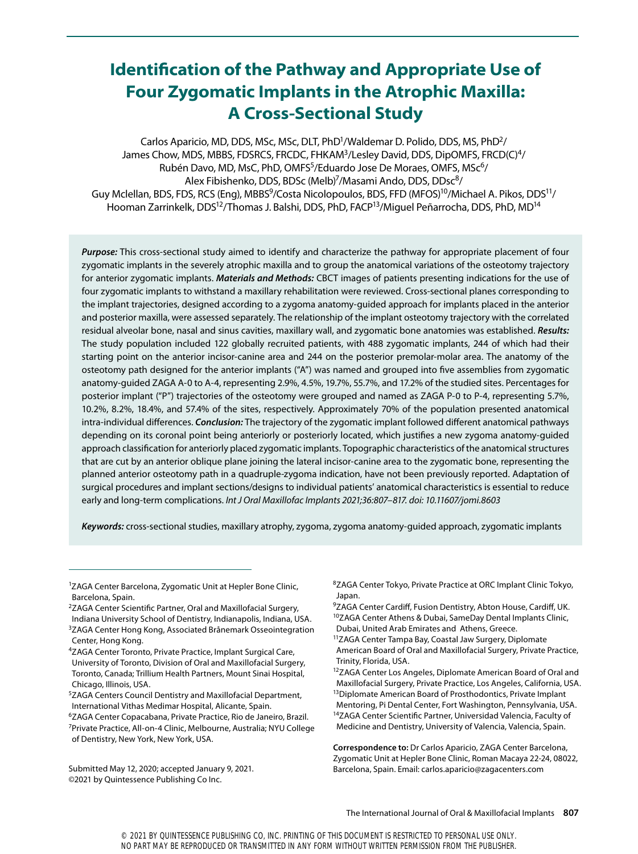# **Identification of the Pathway and Appropriate Use of Four Zygomatic Implants in the Atrophic Maxilla: A Cross-Sectional Study**

Carlos Aparicio, MD, DDS, MSc, MSc, DLT, PhD<sup>1</sup>/Waldemar D. Polido, DDS, MS, PhD<sup>2</sup>/ James Chow, MDS, MBBS, FDSRCS, FRCDC, FHKAM3/Lesley David, DDS, DipOMFS, FRCD(C)4/ Rubén Davo, MD, MsC, PhD, OMFS<sup>5</sup>/Eduardo Jose De Moraes, OMFS, MSc<sup>6</sup>/ Alex Fibishenko, DDS, BDSc (Melb)<sup>7</sup>/Masami Ando, DDS, DDsc<sup>8</sup>/ Guy Mclellan, BDS, FDS, RCS (Eng), MBBS<sup>9</sup>/Costa Nicolopoulos, BDS, FFD (MFOS)<sup>10</sup>/Michael A. Pikos, DDS<sup>11</sup>/ Hooman Zarrinkelk, DDS<sup>12</sup>/Thomas J. Balshi, DDS, PhD, FACP<sup>13</sup>/Miquel Peñarrocha, DDS, PhD, MD<sup>14</sup>

*Purpose:* This cross-sectional study aimed to identify and characterize the pathway for appropriate placement of four zygomatic implants in the severely atrophic maxilla and to group the anatomical variations of the osteotomy trajectory for anterior zygomatic implants. *Materials and Methods:* CBCT images of patients presenting indications for the use of four zygomatic implants to withstand a maxillary rehabilitation were reviewed. Cross-sectional planes corresponding to the implant trajectories, designed according to a zygoma anatomy-guided approach for implants placed in the anterior and posterior maxilla, were assessed separately. The relationship of the implant osteotomy trajectory with the correlated residual alveolar bone, nasal and sinus cavities, maxillary wall, and zygomatic bone anatomies was established. *Results:* The study population included 122 globally recruited patients, with 488 zygomatic implants, 244 of which had their starting point on the anterior incisor-canine area and 244 on the posterior premolar-molar area. The anatomy of the osteotomy path designed for the anterior implants ("A") was named and grouped into five assemblies from zygomatic anatomy-guided ZAGA A-0 to A-4, representing 2.9%, 4.5%, 19.7%, 55.7%, and 17.2% of the studied sites. Percentages for posterior implant ("P") trajectories of the osteotomy were grouped and named as ZAGA P-0 to P-4, representing 5.7%, 10.2%, 8.2%, 18.4%, and 57.4% of the sites, respectively. Approximately 70% of the population presented anatomical intra-individual differences. *Conclusion:* The trajectory of the zygomatic implant followed different anatomical pathways depending on its coronal point being anteriorly or posteriorly located, which justifies a new zygoma anatomy-guided approach classification for anteriorly placed zygomatic implants. Topographic characteristics of the anatomical structures that are cut by an anterior oblique plane joining the lateral incisor-canine area to the zygomatic bone, representing the planned anterior osteotomy path in a quadruple-zygoma indication, have not been previously reported. Adaptation of surgical procedures and implant sections/designs to individual patients' anatomical characteristics is essential to reduce early and long-term complications. *Int J Oral Maxillofac Implants 2021;36:807–817. doi: 10.11607/jomi.8603*

*Keywords:* cross-sectional studies, maxillary atrophy, zygoma, zygoma anatomy-guided approach, zygomatic implants

- 2ZAGA Center Scientific Partner, Oral and Maxillofacial Surgery, Indiana University School of Dentistry, Indianapolis, Indiana, USA. <sup>3</sup>ZAGA Center Hong Kong, Associated Brånemark Osseointegration Center, Hong Kong.
- 4ZAGA Center Toronto, Private Practice, Implant Surgical Care, University of Toronto, Division of Oral and Maxillofacial Surgery, Toronto, Canada; Trillium Health Partners, Mount Sinai Hospital, Chicago, Illinois, USA.
- 5ZAGA Centers Council Dentistry and Maxillofacial Department, International Vithas Medimar Hospital, Alicante, Spain.
- 6ZAGA Center Copacabana, Private Practice, Rio de Janeiro, Brazil. 7Private Practice, All-on-4 Clinic, Melbourne, Australia; NYU College of Dentistry, New York, New York, USA.
- Submitted May 12, 2020; accepted January 9, 2021. ©2021 by Quintessence Publishing Co Inc.

<sup>8</sup>ZAGA Center Tokyo, Private Practice at ORC Implant Clinic Tokyo, Japan.

- 9ZAGA Center Cardiff, Fusion Dentistry, Abton House, Cardiff, UK. 10ZAGA Center Athens & Dubai, SameDay Dental Implants Clinic, Dubai, United Arab Emirates and Athens, Greece.
- 11ZAGA Center Tampa Bay, Coastal Jaw Surgery, Diplomate
- American Board of Oral and Maxillofacial Surgery, Private Practice, Trinity, Florida, USA.
- <sup>12</sup>ZAGA Center Los Angeles, Diplomate American Board of Oral and Maxillofacial Surgery, Private Practice, Los Angeles, California, USA. <sup>13</sup>Diplomate American Board of Prosthodontics, Private Implant Mentoring, Pi Dental Center, Fort Washington, Pennsylvania, USA. <sup>14</sup>ZAGA Center Scientific Partner, Universidad Valencia, Faculty of Medicine and Dentistry, University of Valencia, Valencia, Spain.

**Correspondence to:** Dr Carlos Aparicio, ZAGA Center Barcelona, Zygomatic Unit at Hepler Bone Clinic, Roman Macaya 22-24, 08022, Barcelona, Spain. Email: carlos.aparicio@zagacenters.com

<sup>&</sup>lt;sup>1</sup>ZAGA Center Barcelona, Zygomatic Unit at Hepler Bone Clinic, Barcelona, Spain.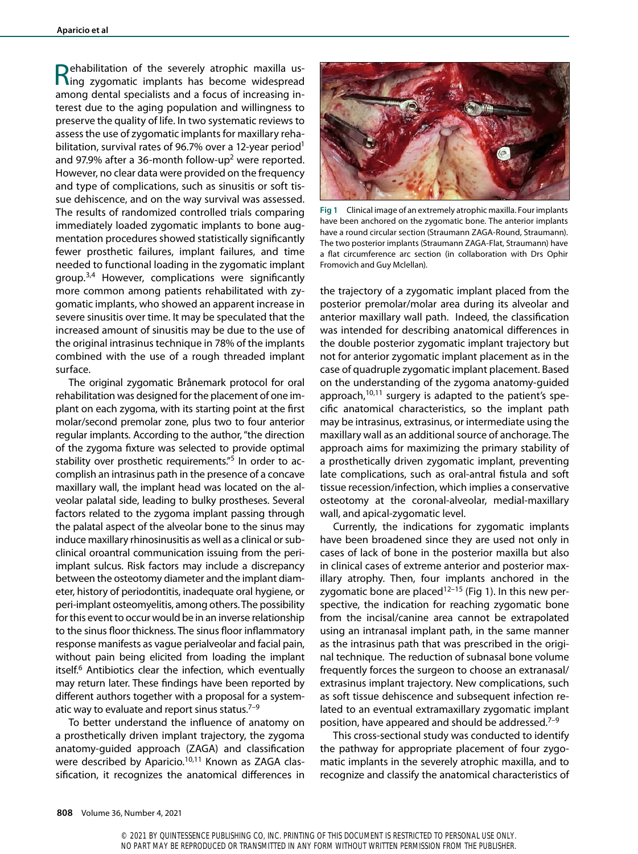Rehabilitation of the severely atrophic maxilla us-ing zygomatic implants has become widespread among dental specialists and a focus of increasing interest due to the aging population and willingness to preserve the quality of life. In two systematic reviews to assess the use of zygomatic implants for maxillary rehabilitation, survival rates of 96.7% over a 12-year period<sup>1</sup> and 97.9% after a 36-month follow-up<sup>2</sup> were reported. However, no clear data were provided on the frequency and type of complications, such as sinusitis or soft tissue dehiscence, and on the way survival was assessed. The results of randomized controlled trials comparing immediately loaded zygomatic implants to bone augmentation procedures showed statistically significantly fewer prosthetic failures, implant failures, and time needed to functional loading in the zygomatic implant group.3,4 However, complications were significantly more common among patients rehabilitated with zygomatic implants, who showed an apparent increase in severe sinusitis over time. It may be speculated that the increased amount of sinusitis may be due to the use of the original intrasinus technique in 78% of the implants combined with the use of a rough threaded implant surface.

The original zygomatic Brånemark protocol for oral rehabilitation was designed for the placement of one implant on each zygoma, with its starting point at the first molar/second premolar zone, plus two to four anterior regular implants. According to the author, "the direction of the zygoma fixture was selected to provide optimal stability over prosthetic requirements."5 In order to accomplish an intrasinus path in the presence of a concave maxillary wall, the implant head was located on the alveolar palatal side, leading to bulky prostheses. Several factors related to the zygoma implant passing through the palatal aspect of the alveolar bone to the sinus may induce maxillary rhinosinusitis as well as a clinical or subclinical oroantral communication issuing from the periimplant sulcus. Risk factors may include a discrepancy between the osteotomy diameter and the implant diameter, history of periodontitis, inadequate oral hygiene, or peri-implant osteomyelitis, among others. The possibility for this event to occur would be in an inverse relationship to the sinus floor thickness. The sinus floor inflammatory response manifests as vague perialveolar and facial pain, without pain being elicited from loading the implant itself.<sup>6</sup> Antibiotics clear the infection, which eventually may return later. These findings have been reported by different authors together with a proposal for a systematic way to evaluate and report sinus status. $7-9$ 

To better understand the influence of anatomy on a prosthetically driven implant trajectory, the zygoma anatomy-guided approach (ZAGA) and classification were described by Aparicio.<sup>10,11</sup> Known as ZAGA classification, it recognizes the anatomical differences in



**Fig 1** Clinical image of an extremely atrophic maxilla. Four implants have been anchored on the zygomatic bone. The anterior implants have a round circular section (Straumann ZAGA-Round, Straumann). The two posterior implants (Straumann ZAGA-Flat, Straumann) have a flat circumference arc section (in collaboration with Drs Ophir Fromovich and Guy Mclellan).

the trajectory of a zygomatic implant placed from the posterior premolar/molar area during its alveolar and anterior maxillary wall path. Indeed, the classification was intended for describing anatomical differences in the double posterior zygomatic implant trajectory but not for anterior zygomatic implant placement as in the case of quadruple zygomatic implant placement. Based on the understanding of the zygoma anatomy-guided approach, $10,11$  surgery is adapted to the patient's specific anatomical characteristics, so the implant path may be intrasinus, extrasinus, or intermediate using the maxillary wall as an additional source of anchorage. The approach aims for maximizing the primary stability of a prosthetically driven zygomatic implant, preventing late complications, such as oral-antral fistula and soft tissue recession/infection, which implies a conservative osteotomy at the coronal-alveolar, medial-maxillary wall, and apical-zygomatic level.

Currently, the indications for zygomatic implants have been broadened since they are used not only in cases of lack of bone in the posterior maxilla but also in clinical cases of extreme anterior and posterior maxillary atrophy. Then, four implants anchored in the zygomatic bone are placed<sup>12–15</sup> (Fig 1). In this new perspective, the indication for reaching zygomatic bone from the incisal/canine area cannot be extrapolated using an intranasal implant path, in the same manner as the intrasinus path that was prescribed in the original technique. The reduction of subnasal bone volume frequently forces the surgeon to choose an extranasal/ extrasinus implant trajectory. New complications, such as soft tissue dehiscence and subsequent infection related to an eventual extramaxillary zygomatic implant position, have appeared and should be addressed.<sup>7-9</sup>

This cross-sectional study was conducted to identify the pathway for appropriate placement of four zygomatic implants in the severely atrophic maxilla, and to recognize and classify the anatomical characteristics of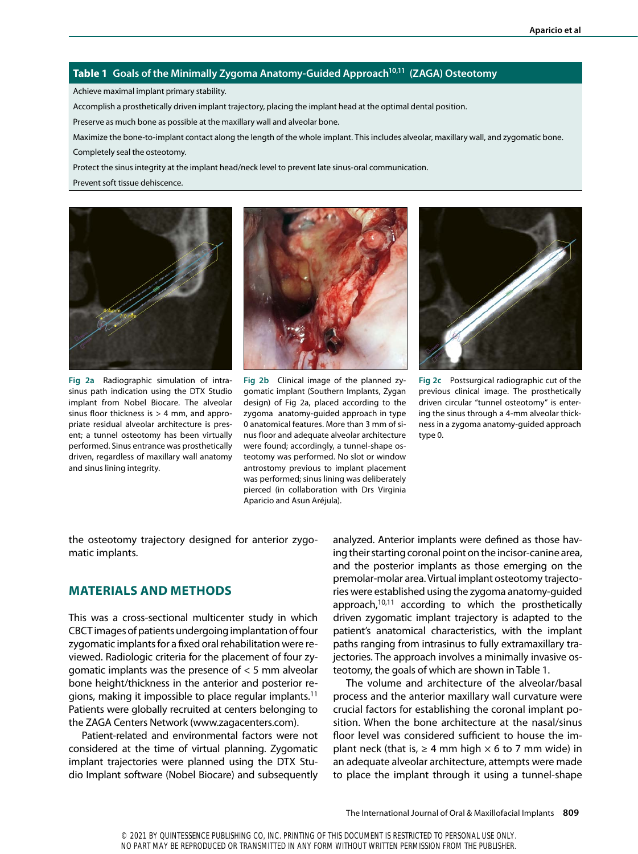### **Table 1** Goals of the Minimally Zygoma Anatomy-Guided Approach<sup>10,11</sup> (ZAGA) Osteotomy

Achieve maximal implant primary stability.

Accomplish a prosthetically driven implant trajectory, placing the implant head at the optimal dental position.

Preserve as much bone as possible at the maxillary wall and alveolar bone.

Maximize the bone-to-implant contact along the length of the whole implant. This includes alveolar, maxillary wall, and zygomatic bone. Completely seal the osteotomy.

Protect the sinus integrity at the implant head/neck level to prevent late sinus-oral communication.

Prevent soft tissue dehiscence.



**Fig 2a** Radiographic simulation of intrasinus path indication using the DTX Studio implant from Nobel Biocare. The alveolar sinus floor thickness is  $> 4$  mm, and appropriate residual alveolar architecture is present; a tunnel osteotomy has been virtually performed. Sinus entrance was prosthetically driven, regardless of maxillary wall anatomy and sinus lining integrity.



**Fig 2b** Clinical image of the planned zygomatic implant (Southern Implants, Zygan design) of Fig 2a, placed according to the zygoma anatomy-guided approach in type 0 anatomical features. More than 3 mm of sinus floor and adequate alveolar architecture were found; accordingly, a tunnel-shape osteotomy was performed. No slot or window antrostomy previous to implant placement was performed; sinus lining was deliberately pierced (in collaboration with Drs Virginia Aparicio and Asun Aréjula).



**Fig 2c** Postsurgical radiographic cut of the previous clinical image. The prosthetically driven circular "tunnel osteotomy" is entering the sinus through a 4-mm alveolar thickness in a zygoma anatomy-guided approach type 0.

the osteotomy trajectory designed for anterior zygomatic implants.

## **MATERIALS AND METHODS**

This was a cross-sectional multicenter study in which CBCT images of patients undergoing implantation of four zygomatic implants for a fixed oral rehabilitation were reviewed. Radiologic criteria for the placement of four zygomatic implants was the presence of < 5 mm alveolar bone height/thickness in the anterior and posterior regions, making it impossible to place regular implants.11 Patients were globally recruited at centers belonging to the ZAGA Centers Network (www.zagacenters.com).

Patient-related and environmental factors were not considered at the time of virtual planning. Zygomatic implant trajectories were planned using the DTX Studio Implant software (Nobel Biocare) and subsequently

analyzed. Anterior implants were defined as those having their starting coronal point on the incisor-canine area, and the posterior implants as those emerging on the premolar-molar area. Virtual implant osteotomy trajectories were established using the zygoma anatomy-guided approach,<sup>10,11</sup> according to which the prosthetically driven zygomatic implant trajectory is adapted to the patient's anatomical characteristics, with the implant paths ranging from intrasinus to fully extramaxillary trajectories. The approach involves a minimally invasive osteotomy, the goals of which are shown in Table 1.

The volume and architecture of the alveolar/basal process and the anterior maxillary wall curvature were crucial factors for establishing the coronal implant position. When the bone architecture at the nasal/sinus floor level was considered sufficient to house the implant neck (that is,  $\geq 4$  mm high  $\times$  6 to 7 mm wide) in an adequate alveolar architecture, attempts were made to place the implant through it using a tunnel-shape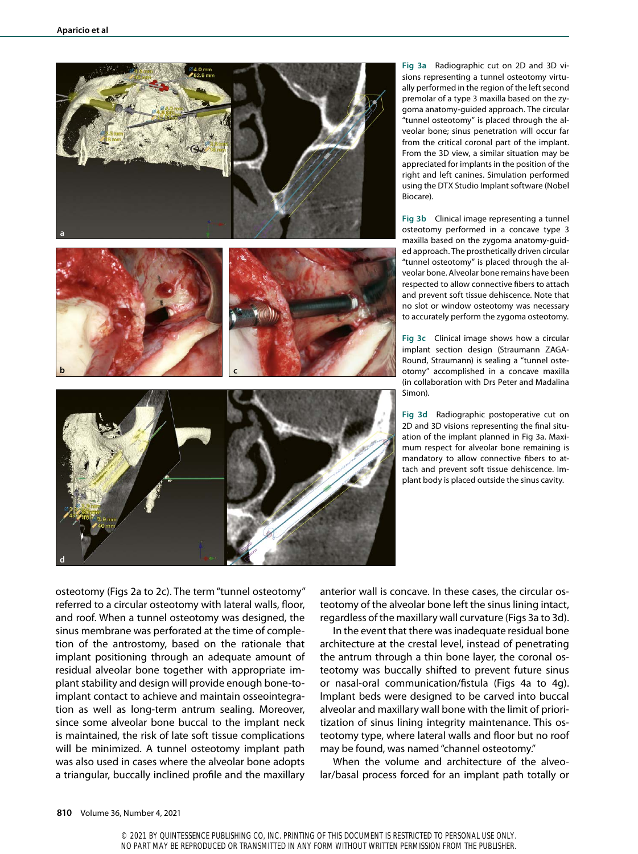

**Fig 3a** Radiographic cut on 2D and 3D visions representing a tunnel osteotomy virtually performed in the region of the left second premolar of a type 3 maxilla based on the zygoma anatomy-guided approach. The circular "tunnel osteotomy" is placed through the alveolar bone; sinus penetration will occur far from the critical coronal part of the implant. From the 3D view, a similar situation may be appreciated for implants in the position of the right and left canines. Simulation performed using the DTX Studio Implant software (Nobel Biocare).

**Fig 3b** Clinical image representing a tunnel osteotomy performed in a concave type 3 maxilla based on the zygoma anatomy-guided approach. The prosthetically driven circular "tunnel osteotomy" is placed through the alveolar bone. Alveolar bone remains have been respected to allow connective fibers to attach and prevent soft tissue dehiscence. Note that no slot or window osteotomy was necessary to accurately perform the zygoma osteotomy.

**Fig 3c** Clinical image shows how a circular implant section design (Straumann ZAGA-Round, Straumann) is sealing a "tunnel osteotomy" accomplished in a concave maxilla (in collaboration with Drs Peter and Madalina Simon).

**Fig 3d** Radiographic postoperative cut on 2D and 3D visions representing the final situation of the implant planned in Fig 3a. Maximum respect for alveolar bone remaining is mandatory to allow connective fibers to attach and prevent soft tissue dehiscence. Implant body is placed outside the sinus cavity.

osteotomy (Figs 2a to 2c). The term "tunnel osteotomy" referred to a circular osteotomy with lateral walls, floor, and roof. When a tunnel osteotomy was designed, the sinus membrane was perforated at the time of completion of the antrostomy, based on the rationale that implant positioning through an adequate amount of residual alveolar bone together with appropriate implant stability and design will provide enough bone-toimplant contact to achieve and maintain osseointegration as well as long-term antrum sealing. Moreover, since some alveolar bone buccal to the implant neck is maintained, the risk of late soft tissue complications will be minimized. A tunnel osteotomy implant path was also used in cases where the alveolar bone adopts a triangular, buccally inclined profile and the maxillary

anterior wall is concave. In these cases, the circular osteotomy of the alveolar bone left the sinus lining intact, regardless of the maxillary wall curvature (Figs 3a to 3d).

In the event that there was inadequate residual bone architecture at the crestal level, instead of penetrating the antrum through a thin bone layer, the coronal osteotomy was buccally shifted to prevent future sinus or nasal-oral communication/fistula (Figs 4a to 4g). Implant beds were designed to be carved into buccal alveolar and maxillary wall bone with the limit of prioritization of sinus lining integrity maintenance. This osteotomy type, where lateral walls and floor but no roof may be found, was named "channel osteotomy."

When the volume and architecture of the alveolar/basal process forced for an implant path totally or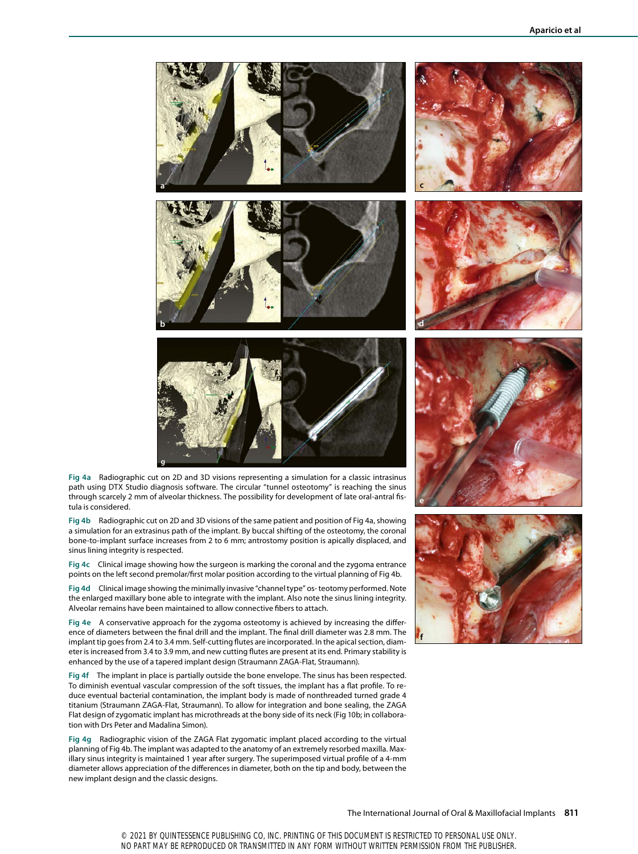

**Fig 4a** Radiographic cut on 2D and 3D visions representing a simulation for a classic intrasinus path using DTX Studio diagnosis software. The circular "tunnel osteotomy" is reaching the sinus through scarcely 2 mm of alveolar thickness. The possibility for development of late oral-antral fistula is considered.

**Fig 4b** Radiographic cut on 2D and 3D visions of the same patient and position of Fig 4a, showing a simulation for an extrasinus path of the implant. By buccal shifting of the osteotomy, the coronal bone-to-implant surface increases from 2 to 6 mm; antrostomy position is apically displaced, and sinus lining integrity is respected.

**Fig 4c** Clinical image showing how the surgeon is marking the coronal and the zygoma entrance points on the left second premolar/first molar position according to the virtual planning of Fig 4b.

**Fig 4d** Clinical image showing the minimally invasive "channel type" os- teotomy performed. Note the enlarged maxillary bone able to integrate with the implant. Also note the sinus lining integrity. Alveolar remains have been maintained to allow connective fibers to attach.

**Fig 4e** A conservative approach for the zygoma osteotomy is achieved by increasing the difference of diameters between the final drill and the implant. The final drill diameter was 2.8 mm. The implant tip goes from 2.4 to 3.4 mm. Self-cutting flutes are incorporated. In the apical section, diameter is increased from 3.4 to 3.9 mm, and new cutting flutes are present at its end. Primary stability is enhanced by the use of a tapered implant design (Straumann ZAGA-Flat, Straumann).

**Fig 4f** The implant in place is partially outside the bone envelope. The sinus has been respected. To diminish eventual vascular compression of the soft tissues, the implant has a flat profile. To reduce eventual bacterial contamination, the implant body is made of nonthreaded turned grade 4 titanium (Straumann ZAGA-Flat, Straumann). To allow for integration and bone sealing, the ZAGA Flat design of zygomatic implant has microthreads at the bony side of its neck (Fig 10b; in collaboration with Drs Peter and Madalina Simon).

**Fig 4g** Radiographic vision of the ZAGA Flat zygomatic implant placed according to the virtual planning of Fig 4b. The implant was adapted to the anatomy of an extremely resorbed maxilla. Maxillary sinus integrity is maintained 1 year after surgery. The superimposed virtual profile of a 4-mm diameter allows appreciation of the differences in diameter, both on the tip and body, between the new implant design and the classic designs.



**e**

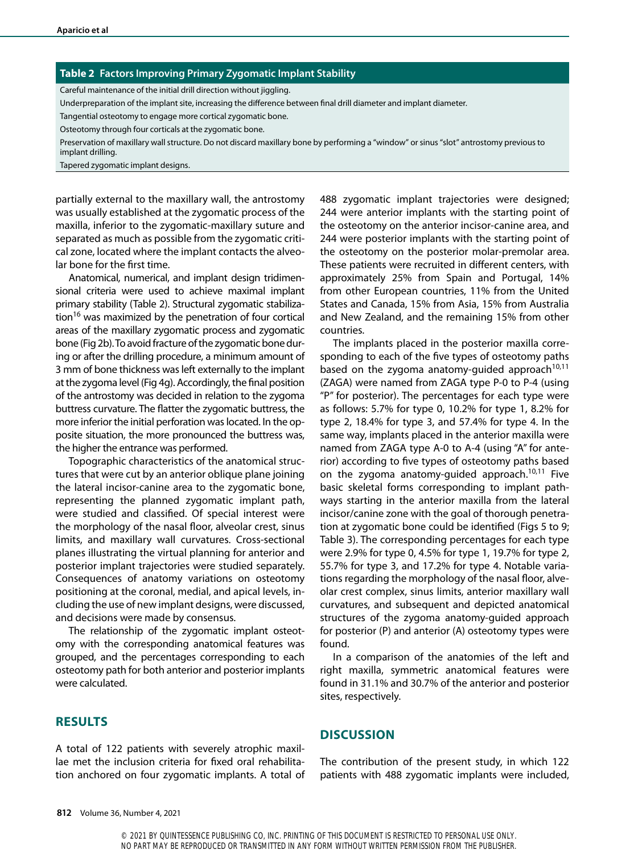#### **Table 2 Factors Improving Primary Zygomatic Implant Stability**

Careful maintenance of the initial drill direction without jiggling.

Underpreparation of the implant site, increasing the difference between final drill diameter and implant diameter.

Tangential osteotomy to engage more cortical zygomatic bone.

Osteotomy through four corticals at the zygomatic bone.

Preservation of maxillary wall structure. Do not discard maxillary bone by performing a "window" or sinus "slot" antrostomy previous to implant drilling.

Tapered zygomatic implant designs.

partially external to the maxillary wall, the antrostomy was usually established at the zygomatic process of the maxilla, inferior to the zygomatic-maxillary suture and separated as much as possible from the zygomatic critical zone, located where the implant contacts the alveolar bone for the first time.

Anatomical, numerical, and implant design tridimensional criteria were used to achieve maximal implant primary stability (Table 2). Structural zygomatic stabilization<sup>16</sup> was maximized by the penetration of four cortical areas of the maxillary zygomatic process and zygomatic bone (Fig 2b). To avoid fracture of the zygomatic bone during or after the drilling procedure, a minimum amount of 3 mm of bone thickness was left externally to the implant at the zygoma level (Fig 4g). Accordingly, the final position of the antrostomy was decided in relation to the zygoma buttress curvature. The flatter the zygomatic buttress, the more inferior the initial perforation was located. In the opposite situation, the more pronounced the buttress was, the higher the entrance was performed.

Topographic characteristics of the anatomical structures that were cut by an anterior oblique plane joining the lateral incisor-canine area to the zygomatic bone, representing the planned zygomatic implant path, were studied and classified. Of special interest were the morphology of the nasal floor, alveolar crest, sinus limits, and maxillary wall curvatures. Cross-sectional planes illustrating the virtual planning for anterior and posterior implant trajectories were studied separately. Consequences of anatomy variations on osteotomy positioning at the coronal, medial, and apical levels, including the use of new implant designs, were discussed, and decisions were made by consensus.

The relationship of the zygomatic implant osteotomy with the corresponding anatomical features was grouped, and the percentages corresponding to each osteotomy path for both anterior and posterior implants were calculated.

#### **RESULTS**

A total of 122 patients with severely atrophic maxillae met the inclusion criteria for fixed oral rehabilitation anchored on four zygomatic implants. A total of

488 zygomatic implant trajectories were designed; 244 were anterior implants with the starting point of the osteotomy on the anterior incisor-canine area, and 244 were posterior implants with the starting point of the osteotomy on the posterior molar-premolar area. These patients were recruited in different centers, with approximately 25% from Spain and Portugal, 14% from other European countries, 11% from the United States and Canada, 15% from Asia, 15% from Australia and New Zealand, and the remaining 15% from other countries.

The implants placed in the posterior maxilla corresponding to each of the five types of osteotomy paths based on the zygoma anatomy-guided approach<sup>10,11</sup> (ZAGA) were named from ZAGA type P-0 to P-4 (using "P" for posterior). The percentages for each type were as follows: 5.7% for type 0, 10.2% for type 1, 8.2% for type 2, 18.4% for type 3, and 57.4% for type 4. In the same way, implants placed in the anterior maxilla were named from ZAGA type A-0 to A-4 (using "A" for anterior) according to five types of osteotomy paths based on the zygoma anatomy-guided approach.<sup>10,11</sup> Five basic skeletal forms corresponding to implant pathways starting in the anterior maxilla from the lateral incisor/canine zone with the goal of thorough penetration at zygomatic bone could be identified (Figs 5 to 9; Table 3). The corresponding percentages for each type were 2.9% for type 0, 4.5% for type 1, 19.7% for type 2, 55.7% for type 3, and 17.2% for type 4. Notable variations regarding the morphology of the nasal floor, alveolar crest complex, sinus limits, anterior maxillary wall curvatures, and subsequent and depicted anatomical structures of the zygoma anatomy-guided approach for posterior (P) and anterior (A) osteotomy types were found.

In a comparison of the anatomies of the left and right maxilla, symmetric anatomical features were found in 31.1% and 30.7% of the anterior and posterior sites, respectively.

### **DISCUSSION**

The contribution of the present study, in which 122 patients with 488 zygomatic implants were included,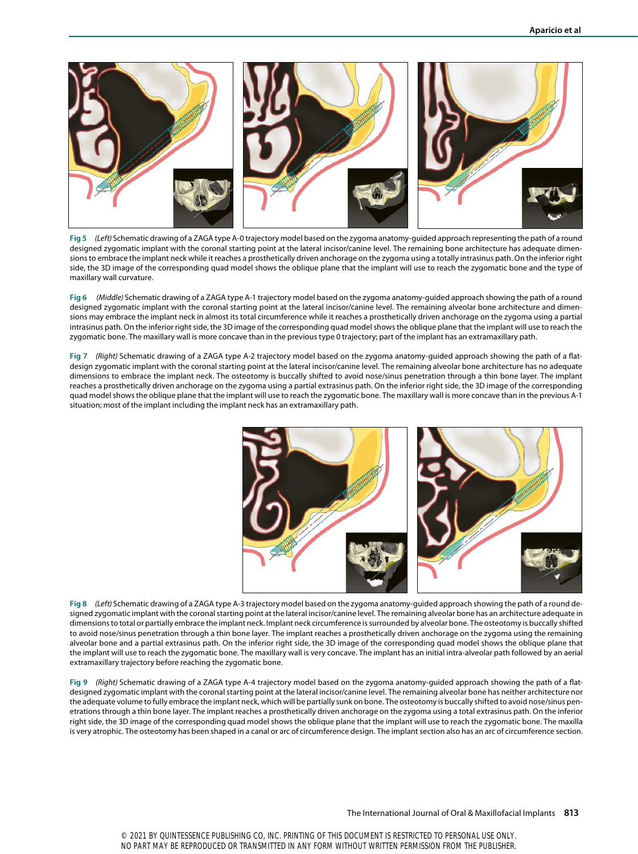

**Fig 5** *(Left)* Schematic drawing of a ZAGA type A-0 trajectory model based on the zygoma anatomy-guided approach representing the path of a round designed zygomatic implant with the coronal starting point at the lateral incisor/canine level. The remaining bone architecture has adequate dimensions to embrace the implant neck while it reaches a prosthetically driven anchorage on the zygoma using a totally intrasinus path. On the inferior right side, the 3D image of the corresponding quad model shows the oblique plane that the implant will use to reach the zygomatic bone and the type of maxillary wall curvature.

**Fig 6** *(Middle)* Schematic drawing of a ZAGA type A-1 trajectory model based on the zygoma anatomy-guided approach showing the path of a round designed zygomatic implant with the coronal starting point at the lateral incisor/canine level. The remaining alveolar bone architecture and dimensions may embrace the implant neck in almost its total circumference while it reaches a prosthetically driven anchorage on the zygoma using a partial intrasinus path. On the inferior right side, the 3D image of the corresponding quad model shows the oblique plane that the implant will use to reach the zygomatic bone. The maxillary wall is more concave than in the previous type 0 trajectory; part of the implant has an extramaxillary path.

**Fig 7** *(Right)* Schematic drawing of a ZAGA type A-2 trajectory model based on the zygoma anatomy-guided approach showing the path of a flatdesign zygomatic implant with the coronal starting point at the lateral incisor/canine level. The remaining alveolar bone architecture has no adequate dimensions to embrace the implant neck. The osteotomy is buccally shifted to avoid nose/sinus penetration through a thin bone layer. The implant reaches a prosthetically driven anchorage on the zygoma using a partial extrasinus path. On the inferior right side, the 3D image of the corresponding quad model shows the oblique plane that the implant will use to reach the zygomatic bone. The maxillary wall is more concave than in the previous A-1 situation; most of the implant including the implant neck has an extramaxillary path.



**Fig 8** *(Left)* Schematic drawing of a ZAGA type A-3 trajectory model based on the zygoma anatomy-guided approach showing the path of a round designed zygomatic implant with the coronal starting point at the lateral incisor/canine level. The remaining alveolar bone has an architecture adequate in dimensions to total or partially embrace the implant neck. Implant neck circumference is surrounded by alveolar bone. The osteotomy is buccally shifted to avoid nose/sinus penetration through a thin bone layer. The implant reaches a prosthetically driven anchorage on the zygoma using the remaining alveolar bone and a partial extrasinus path. On the inferior right side, the 3D image of the corresponding quad model shows the oblique plane that the implant will use to reach the zygomatic bone. The maxillary wall is very concave. The implant has an initial intra-alveolar path followed by an aerial extramaxillary trajectory before reaching the zygomatic bone.

**Fig 9** *(Right)* Schematic drawing of a ZAGA type A-4 trajectory model based on the zygoma anatomy-guided approach showing the path of a flatdesigned zygomatic implant with the coronal starting point at the lateral incisor/canine level. The remaining alveolar bone has neither architecture nor the adequate volume to fully embrace the implant neck, which will be partially sunk on bone. The osteotomy is buccally shifted to avoid nose/sinus penetrations through a thin bone layer. The implant reaches a prosthetically driven anchorage on the zygoma using a total extrasinus path. On the inferior right side, the 3D image of the corresponding quad model shows the oblique plane that the implant will use to reach the zygomatic bone. The maxilla is very atrophic. The osteotomy has been shaped in a canal or arc of circumference design. The implant section also has an arc of circumference section.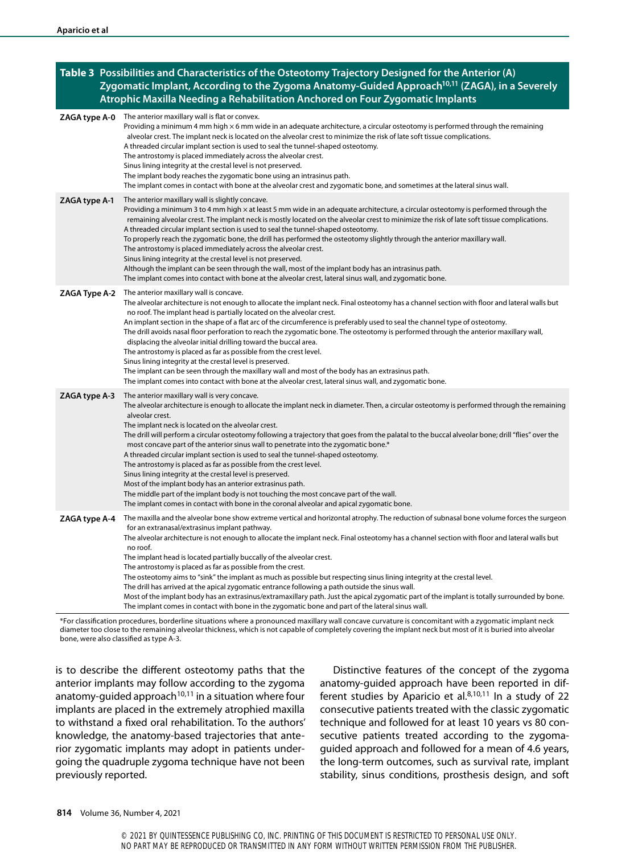| Table 3 Possibilities and Characteristics of the Osteotomy Trajectory Designed for the Anterior (A)<br>Zygomatic Implant, According to the Zygoma Anatomy-Guided Approach <sup>10,11</sup> (ZAGA), in a Severely<br>Atrophic Maxilla Needing a Rehabilitation Anchored on Four Zygomatic Implants |                                                                                                                                                                                                                                                                                                                                                                                                                                                                                                                                                                                                                                                                                                                                                                                                                                                                                                                                                                                            |
|---------------------------------------------------------------------------------------------------------------------------------------------------------------------------------------------------------------------------------------------------------------------------------------------------|--------------------------------------------------------------------------------------------------------------------------------------------------------------------------------------------------------------------------------------------------------------------------------------------------------------------------------------------------------------------------------------------------------------------------------------------------------------------------------------------------------------------------------------------------------------------------------------------------------------------------------------------------------------------------------------------------------------------------------------------------------------------------------------------------------------------------------------------------------------------------------------------------------------------------------------------------------------------------------------------|
| ZAGA type A-0                                                                                                                                                                                                                                                                                     | The anterior maxillary wall is flat or convex.<br>Providing a minimum 4 mm high $\times$ 6 mm wide in an adequate architecture, a circular osteotomy is performed through the remaining<br>alveolar crest. The implant neck is located on the alveolar crest to minimize the risk of late soft tissue complications.<br>A threaded circular implant section is used to seal the tunnel-shaped osteotomy.<br>The antrostomy is placed immediately across the alveolar crest.<br>Sinus lining integrity at the crestal level is not preserved.<br>The implant body reaches the zygomatic bone using an intrasinus path.<br>The implant comes in contact with bone at the alveolar crest and zygomatic bone, and sometimes at the lateral sinus wall.                                                                                                                                                                                                                                         |
| ZAGA type A-1                                                                                                                                                                                                                                                                                     | The anterior maxillary wall is slightly concave.<br>Providing a minimum 3 to 4 mm high x at least 5 mm wide in an adequate architecture, a circular osteotomy is performed through the<br>remaining alveolar crest. The implant neck is mostly located on the alveolar crest to minimize the risk of late soft tissue complications.<br>A threaded circular implant section is used to seal the tunnel-shaped osteotomy.<br>To properly reach the zygomatic bone, the drill has performed the osteotomy slightly through the anterior maxillary wall.<br>The antrostomy is placed immediately across the alveolar crest.<br>Sinus lining integrity at the crestal level is not preserved.<br>Although the implant can be seen through the wall, most of the implant body has an intrasinus path.<br>The implant comes into contact with bone at the alveolar crest, lateral sinus wall, and zygomatic bone.                                                                                |
| ZAGA Type A-2                                                                                                                                                                                                                                                                                     | The anterior maxillary wall is concave.<br>The alveolar architecture is not enough to allocate the implant neck. Final osteotomy has a channel section with floor and lateral walls but<br>no roof. The implant head is partially located on the alveolar crest.<br>An implant section in the shape of a flat arc of the circumference is preferably used to seal the channel type of osteotomy.<br>The drill avoids nasal floor perforation to reach the zygomatic bone. The osteotomy is performed through the anterior maxillary wall,<br>displacing the alveolar initial drilling toward the buccal area.<br>The antrostomy is placed as far as possible from the crest level.<br>Sinus lining integrity at the crestal level is preserved.<br>The implant can be seen through the maxillary wall and most of the body has an extrasinus path.<br>The implant comes into contact with bone at the alveolar crest, lateral sinus wall, and zygomatic bone.                              |
| ZAGA type A-3                                                                                                                                                                                                                                                                                     | The anterior maxillary wall is very concave.<br>The alveolar architecture is enough to allocate the implant neck in diameter. Then, a circular osteotomy is performed through the remaining<br>alveolar crest.<br>The implant neck is located on the alveolar crest.<br>The drill will perform a circular osteotomy following a trajectory that goes from the palatal to the buccal alveolar bone; drill "flies" over the<br>most concave part of the anterior sinus wall to penetrate into the zygomatic bone.*<br>A threaded circular implant section is used to seal the tunnel-shaped osteotomy.<br>The antrostomy is placed as far as possible from the crest level.<br>Sinus lining integrity at the crestal level is preserved.<br>Most of the implant body has an anterior extrasinus path.<br>The middle part of the implant body is not touching the most concave part of the wall.<br>The implant comes in contact with bone in the coronal alveolar and apical zygomatic bone. |
| ZAGA type A-4                                                                                                                                                                                                                                                                                     | The maxilla and the alveolar bone show extreme vertical and horizontal atrophy. The reduction of subnasal bone volume forces the surgeon<br>for an extranasal/extrasinus implant pathway.<br>The alveolar architecture is not enough to allocate the implant neck. Final osteotomy has a channel section with floor and lateral walls but<br>no roof.<br>The implant head is located partially buccally of the alveolar crest.<br>The antrostomy is placed as far as possible from the crest.<br>The osteotomy aims to "sink" the implant as much as possible but respecting sinus lining integrity at the crestal level.<br>The drill has arrived at the apical zygomatic entrance following a path outside the sinus wall.<br>Most of the implant body has an extrasinus/extramaxillary path. Just the apical zygomatic part of the implant is totally surrounded by bone.<br>The implant comes in contact with bone in the zygomatic bone and part of the lateral sinus wall.           |

\*For classification procedures, borderline situations where a pronounced maxillary wall concave curvature is concomitant with a zygomatic implant neck diameter too close to the remaining alveolar thickness, which is not capable of completely covering the implant neck but most of it is buried into alveolar bone, were also classified as type A-3.

is to describe the different osteotomy paths that the anterior implants may follow according to the zygoma anatomy-quided approach<sup>10,11</sup> in a situation where four implants are placed in the extremely atrophied maxilla to withstand a fixed oral rehabilitation. To the authors' knowledge, the anatomy-based trajectories that anterior zygomatic implants may adopt in patients undergoing the quadruple zygoma technique have not been previously reported.

Distinctive features of the concept of the zygoma anatomy-guided approach have been reported in different studies by Aparicio et al. $8,10,11$  In a study of 22 consecutive patients treated with the classic zygomatic technique and followed for at least 10 years vs 80 consecutive patients treated according to the zygomaguided approach and followed for a mean of 4.6 years, the long-term outcomes, such as survival rate, implant stability, sinus conditions, prosthesis design, and soft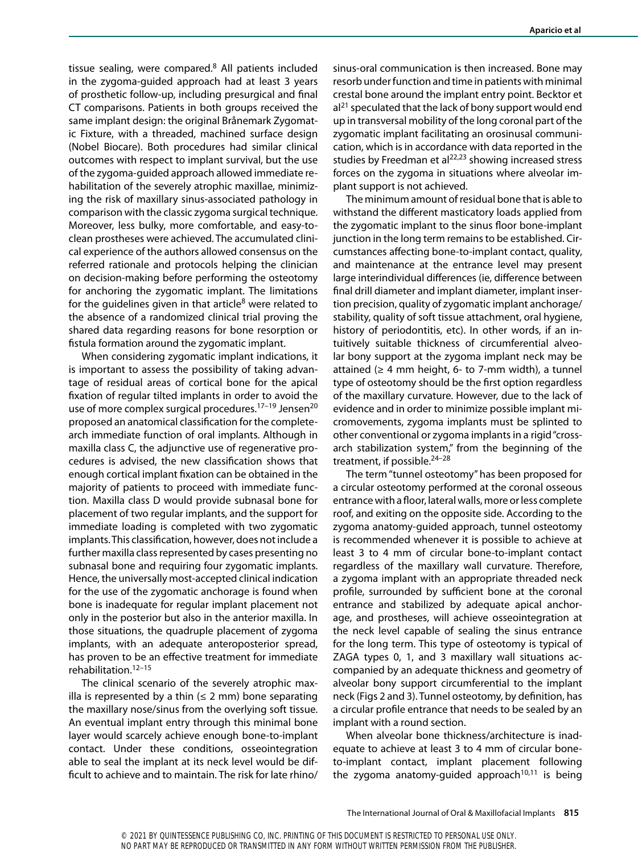tissue sealing, were compared. $8$  All patients included in the zygoma-guided approach had at least 3 years of prosthetic follow-up, including presurgical and final CT comparisons. Patients in both groups received the same implant design: the original Brånemark Zygomatic Fixture, with a threaded, machined surface design (Nobel Biocare). Both procedures had similar clinical outcomes with respect to implant survival, but the use of the zygoma-guided approach allowed immediate rehabilitation of the severely atrophic maxillae, minimizing the risk of maxillary sinus-associated pathology in comparison with the classic zygoma surgical technique. Moreover, less bulky, more comfortable, and easy-toclean prostheses were achieved. The accumulated clinical experience of the authors allowed consensus on the referred rationale and protocols helping the clinician on decision-making before performing the osteotomy for anchoring the zygomatic implant. The limitations for the guidelines given in that article<sup>8</sup> were related to the absence of a randomized clinical trial proving the shared data regarding reasons for bone resorption or fistula formation around the zygomatic implant.

When considering zygomatic implant indications, it is important to assess the possibility of taking advantage of residual areas of cortical bone for the apical fixation of regular tilted implants in order to avoid the use of more complex surgical procedures.<sup>17-19</sup> Jensen<sup>20</sup> proposed an anatomical classification for the completearch immediate function of oral implants. Although in maxilla class C, the adjunctive use of regenerative procedures is advised, the new classification shows that enough cortical implant fixation can be obtained in the majority of patients to proceed with immediate function. Maxilla class D would provide subnasal bone for placement of two regular implants, and the support for immediate loading is completed with two zygomatic implants. This classification, however, does not include a further maxilla class represented by cases presenting no subnasal bone and requiring four zygomatic implants. Hence, the universally most-accepted clinical indication for the use of the zygomatic anchorage is found when bone is inadequate for regular implant placement not only in the posterior but also in the anterior maxilla. In those situations, the quadruple placement of zygoma implants, with an adequate anteroposterior spread, has proven to be an effective treatment for immediate rehabilitation.12–15

The clinical scenario of the severely atrophic maxilla is represented by a thin  $(\leq 2 \text{ mm})$  bone separating the maxillary nose/sinus from the overlying soft tissue. An eventual implant entry through this minimal bone layer would scarcely achieve enough bone-to-implant contact. Under these conditions, osseointegration able to seal the implant at its neck level would be difficult to achieve and to maintain. The risk for late rhino/

sinus-oral communication is then increased. Bone may resorb under function and time in patients with minimal crestal bone around the implant entry point. Becktor et  $al<sup>21</sup>$  speculated that the lack of bony support would end up in transversal mobility of the long coronal part of the zygomatic implant facilitating an orosinusal communication, which is in accordance with data reported in the studies by Freedman et al $^{22,23}$  showing increased stress forces on the zygoma in situations where alveolar implant support is not achieved.

The minimum amount of residual bone that is able to withstand the different masticatory loads applied from the zygomatic implant to the sinus floor bone-implant junction in the long term remains to be established. Circumstances affecting bone-to-implant contact, quality, and maintenance at the entrance level may present large interindividual differences (ie, difference between final drill diameter and implant diameter, implant insertion precision, quality of zygomatic implant anchorage/ stability, quality of soft tissue attachment, oral hygiene, history of periodontitis, etc). In other words, if an intuitively suitable thickness of circumferential alveolar bony support at the zygoma implant neck may be attained ( $\geq 4$  mm height, 6- to 7-mm width), a tunnel type of osteotomy should be the first option regardless of the maxillary curvature. However, due to the lack of evidence and in order to minimize possible implant micromovements, zygoma implants must be splinted to other conventional or zygoma implants in a rigid "crossarch stabilization system," from the beginning of the treatment, if possible. $24-28$ 

The term "tunnel osteotomy" has been proposed for a circular osteotomy performed at the coronal osseous entrance with a floor, lateral walls, more or less complete roof, and exiting on the opposite side. According to the zygoma anatomy-guided approach, tunnel osteotomy is recommended whenever it is possible to achieve at least 3 to 4 mm of circular bone-to-implant contact regardless of the maxillary wall curvature. Therefore, a zygoma implant with an appropriate threaded neck profile, surrounded by sufficient bone at the coronal entrance and stabilized by adequate apical anchorage, and prostheses, will achieve osseointegration at the neck level capable of sealing the sinus entrance for the long term. This type of osteotomy is typical of ZAGA types 0, 1, and 3 maxillary wall situations accompanied by an adequate thickness and geometry of alveolar bony support circumferential to the implant neck (Figs 2 and 3). Tunnel osteotomy, by definition, has a circular profile entrance that needs to be sealed by an implant with a round section.

When alveolar bone thickness/architecture is inadequate to achieve at least 3 to 4 mm of circular boneto-implant contact, implant placement following the zygoma anatomy-guided approach<sup>10,11</sup> is being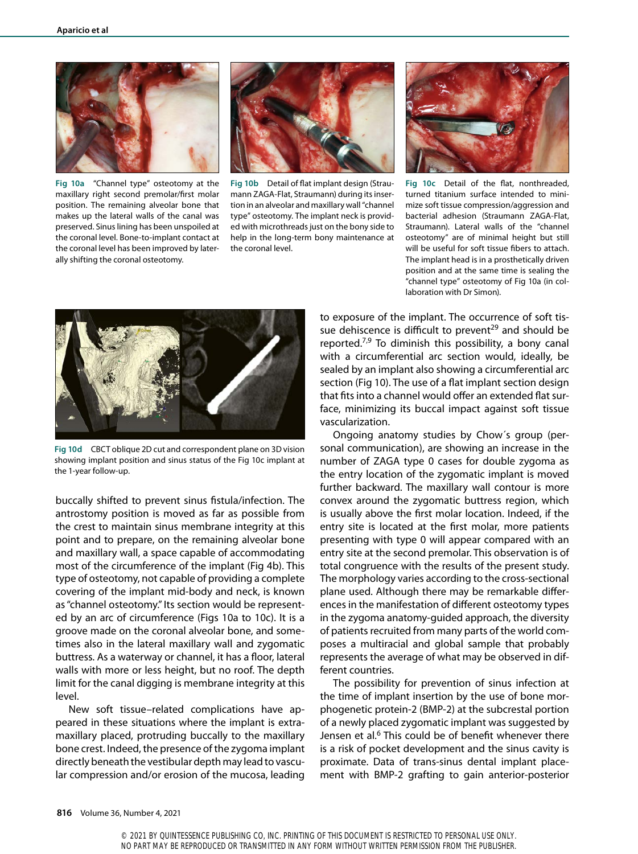

**Fig 10a** "Channel type" osteotomy at the maxillary right second premolar/first molar position. The remaining alveolar bone that makes up the lateral walls of the canal was preserved. Sinus lining has been unspoiled at the coronal level. Bone-to-implant contact at the coronal level has been improved by laterally shifting the coronal osteotomy.



**Fig 10b** Detail of flat implant design (Straumann ZAGA-Flat, Straumann) during its insertion in an alveolar and maxillary wall "channel type" osteotomy. The implant neck is provided with microthreads just on the bony side to help in the long-term bony maintenance at the coronal level.



**Fig 10c** Detail of the flat, nonthreaded, turned titanium surface intended to minimize soft tissue compression/aggression and bacterial adhesion (Straumann ZAGA-Flat, Straumann). Lateral walls of the "channel osteotomy" are of minimal height but still will be useful for soft tissue fibers to attach. The implant head is in a prosthetically driven position and at the same time is sealing the "channel type" osteotomy of Fig 10a (in collaboration with Dr Simon).



**Fig 10d** CBCT oblique 2D cut and correspondent plane on 3D vision showing implant position and sinus status of the Fig 10c implant at the 1-year follow-up.

buccally shifted to prevent sinus fistula/infection. The antrostomy position is moved as far as possible from the crest to maintain sinus membrane integrity at this point and to prepare, on the remaining alveolar bone and maxillary wall, a space capable of accommodating most of the circumference of the implant (Fig 4b). This type of osteotomy, not capable of providing a complete covering of the implant mid-body and neck, is known as "channel osteotomy." Its section would be represented by an arc of circumference (Figs 10a to 10c). It is a groove made on the coronal alveolar bone, and sometimes also in the lateral maxillary wall and zygomatic buttress. As a waterway or channel, it has a floor, lateral walls with more or less height, but no roof. The depth limit for the canal digging is membrane integrity at this level.

New soft tissue–related complications have appeared in these situations where the implant is extramaxillary placed, protruding buccally to the maxillary bone crest. Indeed, the presence of the zygoma implant directly beneath the vestibular depth may lead to vascular compression and/or erosion of the mucosa, leading

to exposure of the implant. The occurrence of soft tissue dehiscence is difficult to prevent<sup>29</sup> and should be reported.<sup>7,9</sup> To diminish this possibility, a bony canal with a circumferential arc section would, ideally, be sealed by an implant also showing a circumferential arc section (Fig 10). The use of a flat implant section design that fits into a channel would offer an extended flat surface, minimizing its buccal impact against soft tissue vascularization.

Ongoing anatomy studies by Chow´s group (personal communication), are showing an increase in the number of ZAGA type 0 cases for double zygoma as the entry location of the zygomatic implant is moved further backward. The maxillary wall contour is more convex around the zygomatic buttress region, which is usually above the first molar location. Indeed, if the entry site is located at the first molar, more patients presenting with type 0 will appear compared with an entry site at the second premolar. This observation is of total congruence with the results of the present study. The morphology varies according to the cross-sectional plane used. Although there may be remarkable differences in the manifestation of different osteotomy types in the zygoma anatomy-guided approach, the diversity of patients recruited from many parts of the world composes a multiracial and global sample that probably represents the average of what may be observed in different countries.

The possibility for prevention of sinus infection at the time of implant insertion by the use of bone morphogenetic protein-2 (BMP-2) at the subcrestal portion of a newly placed zygomatic implant was suggested by Jensen et al.<sup>6</sup> This could be of benefit whenever there is a risk of pocket development and the sinus cavity is proximate. Data of trans-sinus dental implant placement with BMP-2 grafting to gain anterior-posterior